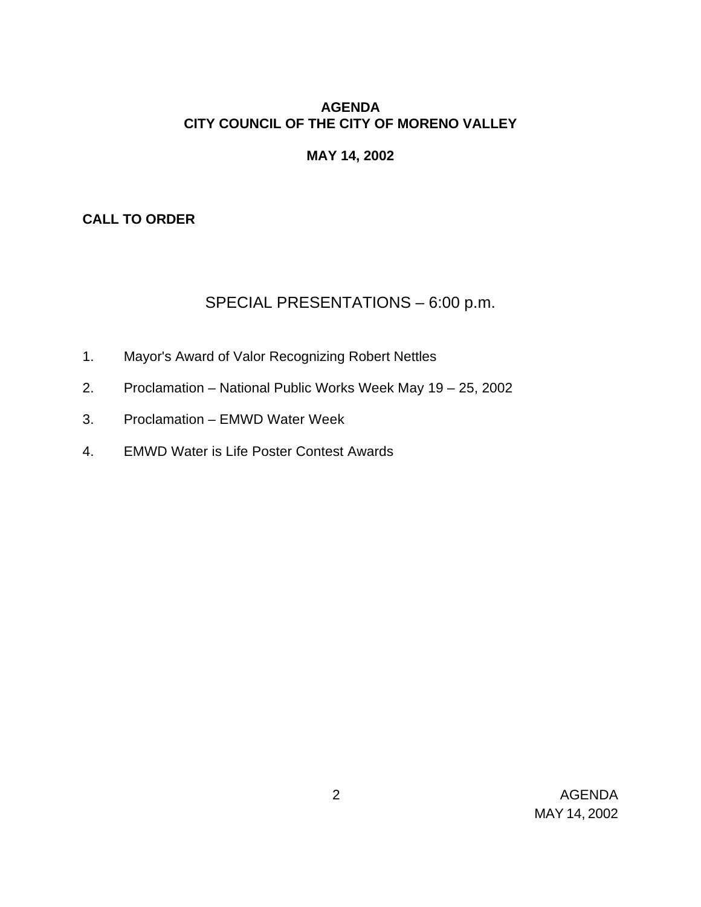## **AGENDA CITY COUNCIL OF THE CITY OF MORENO VALLEY**

### **MAY 14, 2002**

### **CALL TO ORDER**

# SPECIAL PRESENTATIONS – 6:00 p.m.

- 1. Mayor's Award of Valor Recognizing Robert Nettles
- 2. Proclamation National Public Works Week May 19 25, 2002
- 3. Proclamation EMWD Water Week
- 4. EMWD Water is Life Poster Contest Awards

 2 AGENDA MAY 14, 2002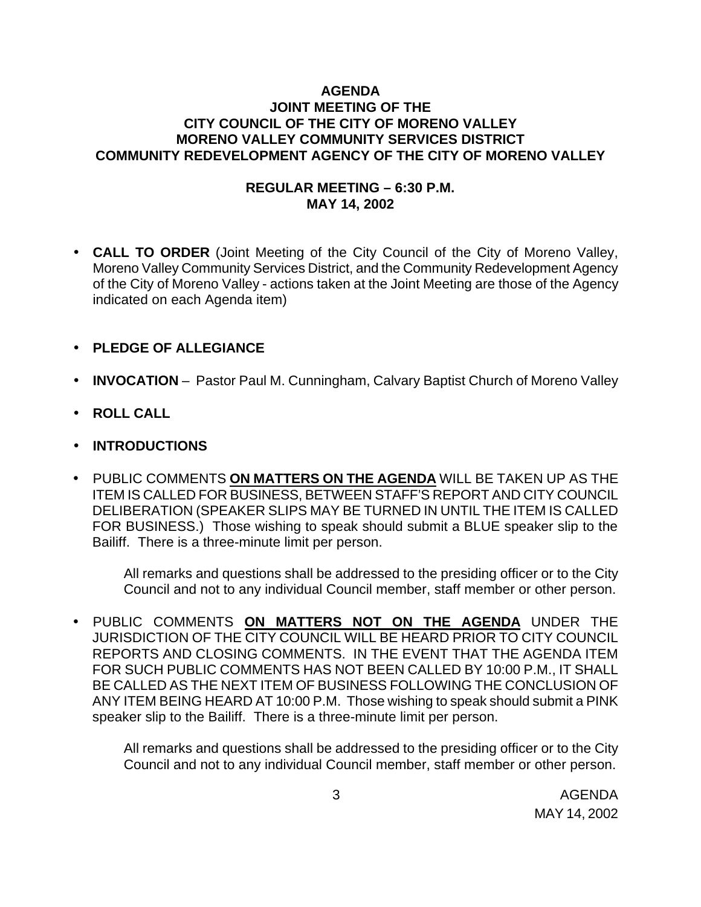### **AGENDA JOINT MEETING OF THE CITY COUNCIL OF THE CITY OF MORENO VALLEY MORENO VALLEY COMMUNITY SERVICES DISTRICT COMMUNITY REDEVELOPMENT AGENCY OF THE CITY OF MORENO VALLEY**

#### **REGULAR MEETING – 6:30 P.M. MAY 14, 2002**

- **CALL TO ORDER** (Joint Meeting of the City Council of the City of Moreno Valley, Moreno Valley Community Services District, and the Community Redevelopment Agency of the City of Moreno Valley - actions taken at the Joint Meeting are those of the Agency indicated on each Agenda item)
- **PLEDGE OF ALLEGIANCE**
- **INVOCATION** Pastor Paul M. Cunningham, Calvary Baptist Church of Moreno Valley
- **ROLL CALL**
- **INTRODUCTIONS**
- PUBLIC COMMENTS **ON MATTERS ON THE AGENDA** WILL BE TAKEN UP AS THE ITEM IS CALLED FOR BUSINESS, BETWEEN STAFF'S REPORT AND CITY COUNCIL DELIBERATION (SPEAKER SLIPS MAY BE TURNED IN UNTIL THE ITEM IS CALLED FOR BUSINESS.) Those wishing to speak should submit a BLUE speaker slip to the Bailiff. There is a three-minute limit per person.

All remarks and questions shall be addressed to the presiding officer or to the City Council and not to any individual Council member, staff member or other person.

• PUBLIC COMMENTS **ON MATTERS NOT ON THE AGENDA** UNDER THE JURISDICTION OF THE CITY COUNCIL WILL BE HEARD PRIOR TO CITY COUNCIL REPORTS AND CLOSING COMMENTS. IN THE EVENT THAT THE AGENDA ITEM FOR SUCH PUBLIC COMMENTS HAS NOT BEEN CALLED BY 10:00 P.M., IT SHALL BE CALLED AS THE NEXT ITEM OF BUSINESS FOLLOWING THE CONCLUSION OF ANY ITEM BEING HEARD AT 10:00 P.M. Those wishing to speak should submit a PINK speaker slip to the Bailiff. There is a three-minute limit per person.

All remarks and questions shall be addressed to the presiding officer or to the City Council and not to any individual Council member, staff member or other person.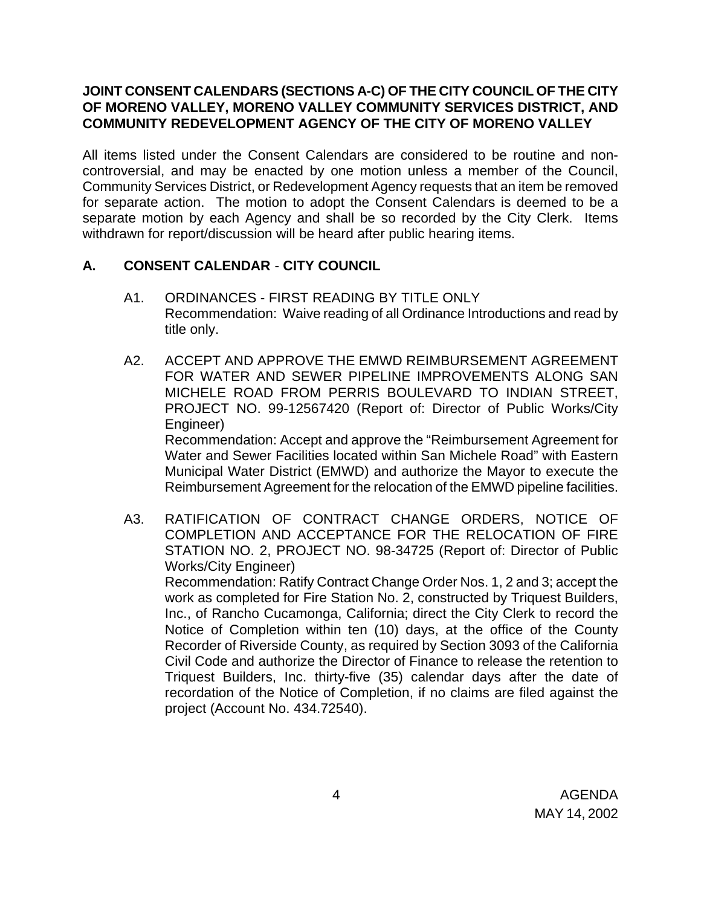#### **JOINT CONSENT CALENDARS (SECTIONS A-C) OF THE CITY COUNCIL OF THE CITY OF MORENO VALLEY, MORENO VALLEY COMMUNITY SERVICES DISTRICT, AND COMMUNITY REDEVELOPMENT AGENCY OF THE CITY OF MORENO VALLEY**

All items listed under the Consent Calendars are considered to be routine and noncontroversial, and may be enacted by one motion unless a member of the Council, Community Services District, or Redevelopment Agency requests that an item be removed for separate action. The motion to adopt the Consent Calendars is deemed to be a separate motion by each Agency and shall be so recorded by the City Clerk. Items withdrawn for report/discussion will be heard after public hearing items.

### **A. CONSENT CALENDAR** - **CITY COUNCIL**

- A1. ORDINANCES FIRST READING BY TITLE ONLY Recommendation: Waive reading of all Ordinance Introductions and read by title only.
- A2. ACCEPT AND APPROVE THE EMWD REIMBURSEMENT AGREEMENT FOR WATER AND SEWER PIPELINE IMPROVEMENTS ALONG SAN MICHELE ROAD FROM PERRIS BOULEVARD TO INDIAN STREET, PROJECT NO. 99-12567420 (Report of: Director of Public Works/City Engineer) Recommendation: Accept and approve the "Reimbursement Agreement for

Water and Sewer Facilities located within San Michele Road" with Eastern Municipal Water District (EMWD) and authorize the Mayor to execute the Reimbursement Agreement for the relocation of the EMWD pipeline facilities.

A3. RATIFICATION OF CONTRACT CHANGE ORDERS, NOTICE OF COMPLETION AND ACCEPTANCE FOR THE RELOCATION OF FIRE STATION NO. 2, PROJECT NO. 98-34725 (Report of: Director of Public Works/City Engineer)

Recommendation: Ratify Contract Change Order Nos. 1, 2 and 3; accept the work as completed for Fire Station No. 2, constructed by Triquest Builders, Inc., of Rancho Cucamonga, California; direct the City Clerk to record the Notice of Completion within ten (10) days, at the office of the County Recorder of Riverside County, as required by Section 3093 of the California Civil Code and authorize the Director of Finance to release the retention to Triquest Builders, Inc. thirty-five (35) calendar days after the date of recordation of the Notice of Completion, if no claims are filed against the project (Account No. 434.72540).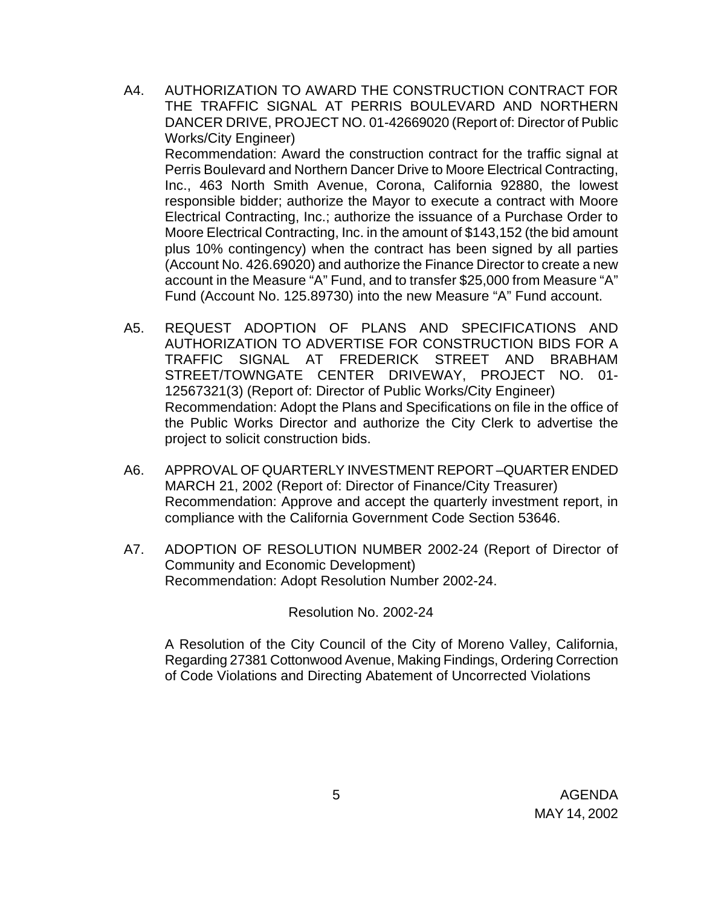- A4. AUTHORIZATION TO AWARD THE CONSTRUCTION CONTRACT FOR THE TRAFFIC SIGNAL AT PERRIS BOULEVARD AND NORTHERN DANCER DRIVE, PROJECT NO. 01-42669020 (Report of: Director of Public Works/City Engineer) Recommendation: Award the construction contract for the traffic signal at Perris Boulevard and Northern Dancer Drive to Moore Electrical Contracting, Inc., 463 North Smith Avenue, Corona, California 92880, the lowest responsible bidder; authorize the Mayor to execute a contract with Moore Electrical Contracting, Inc.; authorize the issuance of a Purchase Order to Moore Electrical Contracting, Inc. in the amount of \$143,152 (the bid amount plus 10% contingency) when the contract has been signed by all parties (Account No. 426.69020) and authorize the Finance Director to create a new account in the Measure "A" Fund, and to transfer \$25,000 from Measure "A" Fund (Account No. 125.89730) into the new Measure "A" Fund account.
- A5. REQUEST ADOPTION OF PLANS AND SPECIFICATIONS AND AUTHORIZATION TO ADVERTISE FOR CONSTRUCTION BIDS FOR A TRAFFIC SIGNAL AT FREDERICK STREET AND BRABHAM STREET/TOWNGATE CENTER DRIVEWAY, PROJECT NO. 01- 12567321(3) (Report of: Director of Public Works/City Engineer) Recommendation: Adopt the Plans and Specifications on file in the office of the Public Works Director and authorize the City Clerk to advertise the project to solicit construction bids.
- A6. APPROVAL OF QUARTERLY INVESTMENT REPORT –QUARTER ENDED MARCH 21, 2002 (Report of: Director of Finance/City Treasurer) Recommendation: Approve and accept the quarterly investment report, in compliance with the California Government Code Section 53646.
- A7. ADOPTION OF RESOLUTION NUMBER 2002-24 (Report of Director of Community and Economic Development) Recommendation: Adopt Resolution Number 2002-24.

Resolution No. 2002-24

A Resolution of the City Council of the City of Moreno Valley, California, Regarding 27381 Cottonwood Avenue, Making Findings, Ordering Correction of Code Violations and Directing Abatement of Uncorrected Violations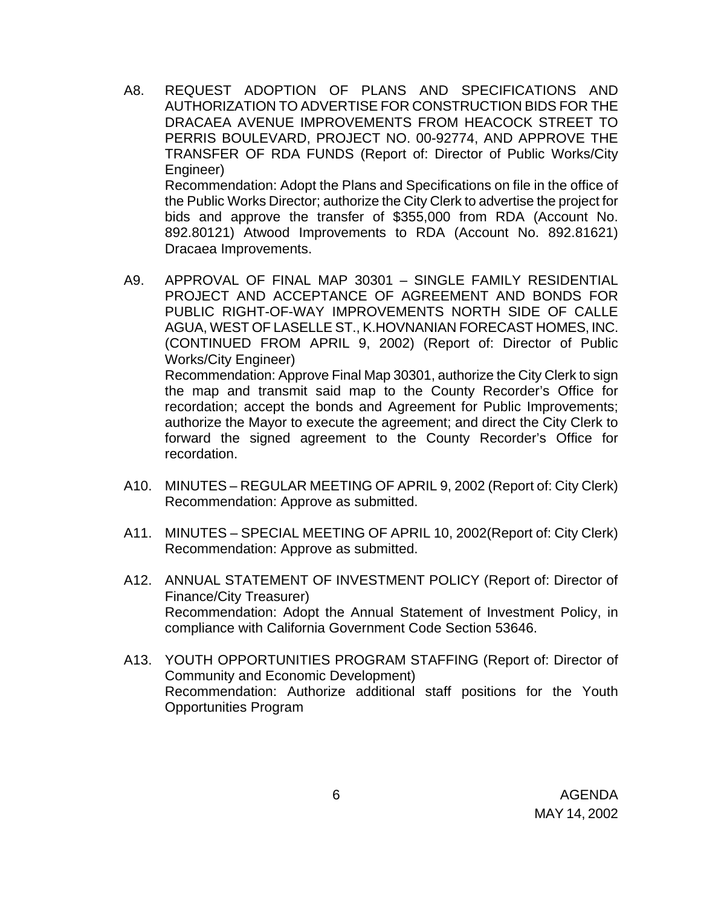A8. REQUEST ADOPTION OF PLANS AND SPECIFICATIONS AND AUTHORIZATION TO ADVERTISE FOR CONSTRUCTION BIDS FOR THE DRACAEA AVENUE IMPROVEMENTS FROM HEACOCK STREET TO PERRIS BOULEVARD, PROJECT NO. 00-92774, AND APPROVE THE TRANSFER OF RDA FUNDS (Report of: Director of Public Works/City Engineer) Recommendation: Adopt the Plans and Specifications on file in the office of the Public Works Director; authorize the City Clerk to advertise the project for bids and approve the transfer of \$355,000 from RDA (Account No. 892.80121) Atwood Improvements to RDA (Account No. 892.81621)

Dracaea Improvements.

- A9. APPROVAL OF FINAL MAP 30301 SINGLE FAMILY RESIDENTIAL PROJECT AND ACCEPTANCE OF AGREEMENT AND BONDS FOR PUBLIC RIGHT-OF-WAY IMPROVEMENTS NORTH SIDE OF CALLE AGUA, WEST OF LASELLE ST., K.HOVNANIAN FORECAST HOMES, INC. (CONTINUED FROM APRIL 9, 2002) (Report of: Director of Public Works/City Engineer) Recommendation: Approve Final Map 30301, authorize the City Clerk to sign the map and transmit said map to the County Recorder's Office for recordation; accept the bonds and Agreement for Public Improvements; authorize the Mayor to execute the agreement; and direct the City Clerk to forward the signed agreement to the County Recorder's Office for recordation.
- A10. MINUTES REGULAR MEETING OF APRIL 9, 2002 (Report of: City Clerk) Recommendation: Approve as submitted.
- A11. MINUTES SPECIAL MEETING OF APRIL 10, 2002(Report of: City Clerk) Recommendation: Approve as submitted.
- A12. ANNUAL STATEMENT OF INVESTMENT POLICY (Report of: Director of Finance/City Treasurer) Recommendation: Adopt the Annual Statement of Investment Policy, in compliance with California Government Code Section 53646.
- A13. YOUTH OPPORTUNITIES PROGRAM STAFFING (Report of: Director of Community and Economic Development) Recommendation: Authorize additional staff positions for the Youth Opportunities Program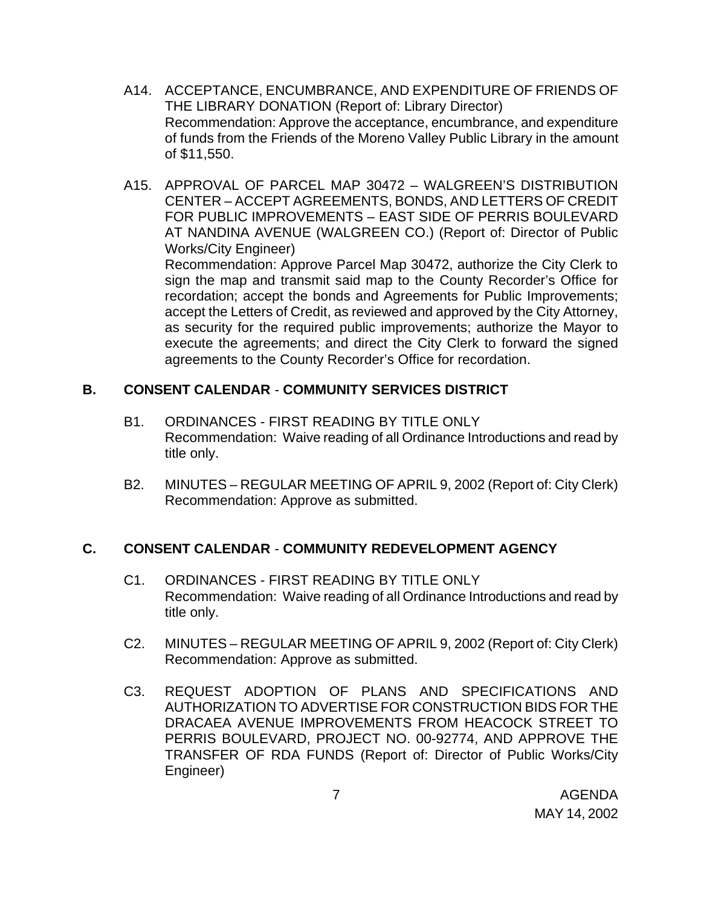- A14. ACCEPTANCE, ENCUMBRANCE, AND EXPENDITURE OF FRIENDS OF THE LIBRARY DONATION (Report of: Library Director) Recommendation: Approve the acceptance, encumbrance, and expenditure of funds from the Friends of the Moreno Valley Public Library in the amount of \$11,550.
- A15. APPROVAL OF PARCEL MAP 30472 WALGREEN'S DISTRIBUTION CENTER – ACCEPT AGREEMENTS, BONDS, AND LETTERS OF CREDIT FOR PUBLIC IMPROVEMENTS – EAST SIDE OF PERRIS BOULEVARD AT NANDINA AVENUE (WALGREEN CO.) (Report of: Director of Public Works/City Engineer) Recommendation: Approve Parcel Map 30472, authorize the City Clerk to sign the map and transmit said map to the County Recorder's Office for recordation; accept the bonds and Agreements for Public Improvements; accept the Letters of Credit, as reviewed and approved by the City Attorney, as security for the required public improvements; authorize the Mayor to execute the agreements; and direct the City Clerk to forward the signed agreements to the County Recorder's Office for recordation.

### **B. CONSENT CALENDAR** - **COMMUNITY SERVICES DISTRICT**

- B1. ORDINANCES FIRST READING BY TITLE ONLY Recommendation: Waive reading of all Ordinance Introductions and read by title only.
- B2. MINUTES REGULAR MEETING OF APRIL 9, 2002 (Report of: City Clerk) Recommendation: Approve as submitted.

### **C. CONSENT CALENDAR** - **COMMUNITY REDEVELOPMENT AGENCY**

- C1. ORDINANCES FIRST READING BY TITLE ONLY Recommendation: Waive reading of all Ordinance Introductions and read by title only.
- C2. MINUTES REGULAR MEETING OF APRIL 9, 2002 (Report of: City Clerk) Recommendation: Approve as submitted.
- C3. REQUEST ADOPTION OF PLANS AND SPECIFICATIONS AND AUTHORIZATION TO ADVERTISE FOR CONSTRUCTION BIDS FOR THE DRACAEA AVENUE IMPROVEMENTS FROM HEACOCK STREET TO PERRIS BOULEVARD, PROJECT NO. 00-92774, AND APPROVE THE TRANSFER OF RDA FUNDS (Report of: Director of Public Works/City Engineer)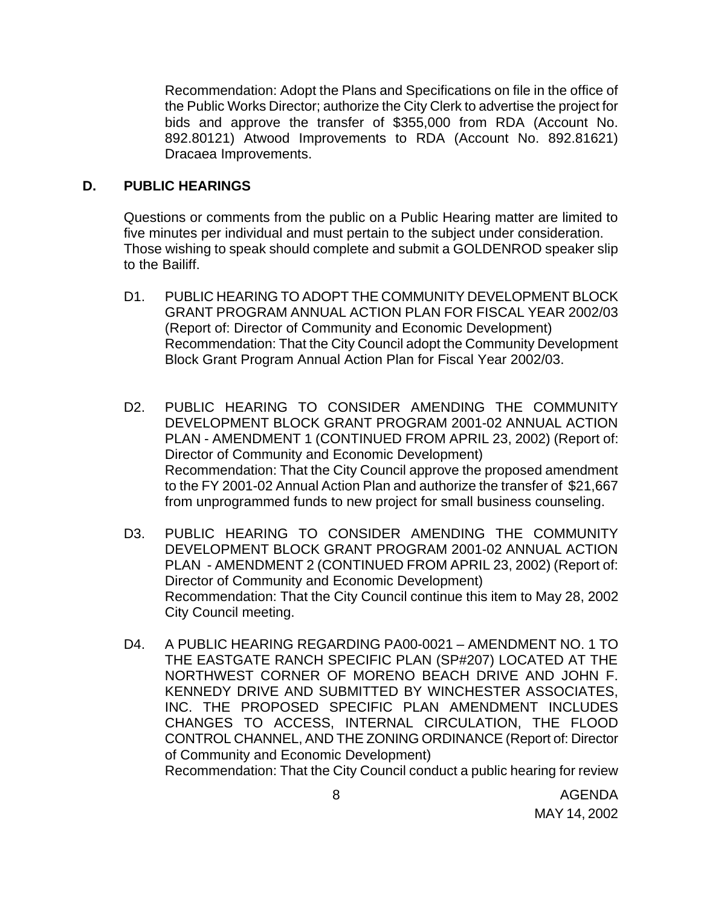Recommendation: Adopt the Plans and Specifications on file in the office of the Public Works Director; authorize the City Clerk to advertise the project for bids and approve the transfer of \$355,000 from RDA (Account No. 892.80121) Atwood Improvements to RDA (Account No. 892.81621) Dracaea Improvements.

#### **D. PUBLIC HEARINGS**

Questions or comments from the public on a Public Hearing matter are limited to five minutes per individual and must pertain to the subject under consideration. Those wishing to speak should complete and submit a GOLDENROD speaker slip to the Bailiff.

- D1. PUBLIC HEARING TO ADOPT THE COMMUNITY DEVELOPMENT BLOCK GRANT PROGRAM ANNUAL ACTION PLAN FOR FISCAL YEAR 2002/03 (Report of: Director of Community and Economic Development) Recommendation: That the City Council adopt the Community Development Block Grant Program Annual Action Plan for Fiscal Year 2002/03.
- D2. PUBLIC HEARING TO CONSIDER AMENDING THE COMMUNITY DEVELOPMENT BLOCK GRANT PROGRAM 2001-02 ANNUAL ACTION PLAN - AMENDMENT 1 (CONTINUED FROM APRIL 23, 2002) (Report of: Director of Community and Economic Development) Recommendation: That the City Council approve the proposed amendment to the FY 2001-02 Annual Action Plan and authorize the transfer of \$21,667 from unprogrammed funds to new project for small business counseling.
- D3. PUBLIC HEARING TO CONSIDER AMENDING THE COMMUNITY DEVELOPMENT BLOCK GRANT PROGRAM 2001-02 ANNUAL ACTION PLAN - AMENDMENT 2 (CONTINUED FROM APRIL 23, 2002) (Report of: Director of Community and Economic Development) Recommendation: That the City Council continue this item to May 28, 2002 City Council meeting.
- D4. A PUBLIC HEARING REGARDING PA00-0021 AMENDMENT NO. 1 TO THE EASTGATE RANCH SPECIFIC PLAN (SP#207) LOCATED AT THE NORTHWEST CORNER OF MORENO BEACH DRIVE AND JOHN F. KENNEDY DRIVE AND SUBMITTED BY WINCHESTER ASSOCIATES, INC. THE PROPOSED SPECIFIC PLAN AMENDMENT INCLUDES CHANGES TO ACCESS, INTERNAL CIRCULATION, THE FLOOD CONTROL CHANNEL, AND THE ZONING ORDINANCE (Report of: Director of Community and Economic Development) Recommendation: That the City Council conduct a public hearing for review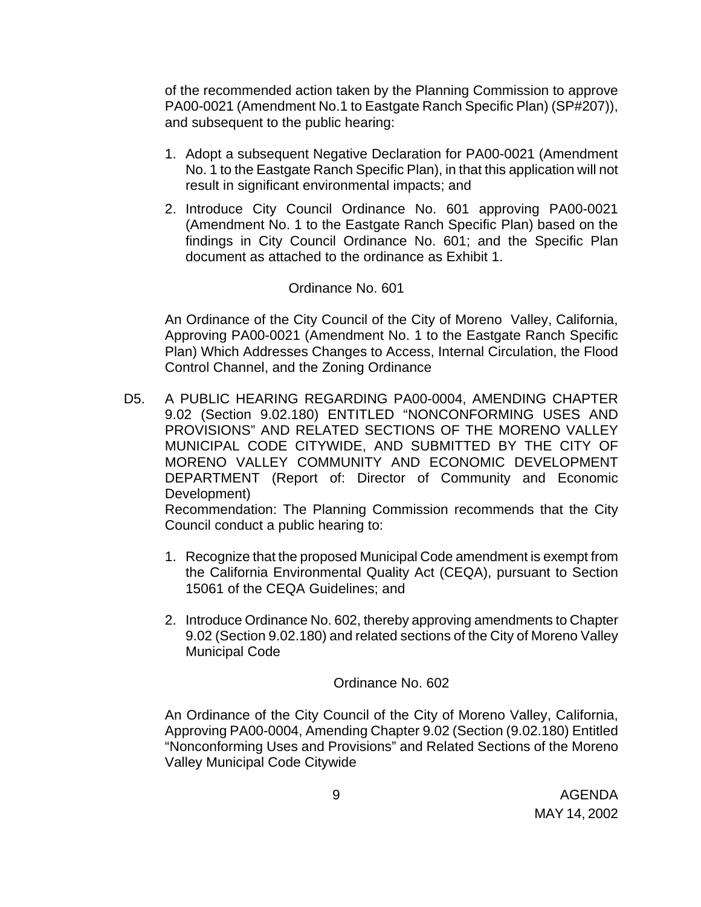of the recommended action taken by the Planning Commission to approve PA00-0021 (Amendment No.1 to Eastgate Ranch Specific Plan) (SP#207)), and subsequent to the public hearing:

- 1. Adopt a subsequent Negative Declaration for PA00-0021 (Amendment No. 1 to the Eastgate Ranch Specific Plan), in that this application will not result in significant environmental impacts; and
- 2. Introduce City Council Ordinance No. 601 approving PA00-0021 (Amendment No. 1 to the Eastgate Ranch Specific Plan) based on the findings in City Council Ordinance No. 601; and the Specific Plan document as attached to the ordinance as Exhibit 1.

#### Ordinance No. 601

An Ordinance of the City Council of the City of Moreno Valley, California, Approving PA00-0021 (Amendment No. 1 to the Eastgate Ranch Specific Plan) Which Addresses Changes to Access, Internal Circulation, the Flood Control Channel, and the Zoning Ordinance

D5. A PUBLIC HEARING REGARDING PA00-0004, AMENDING CHAPTER 9.02 (Section 9.02.180) ENTITLED "NONCONFORMING USES AND PROVISIONS" AND RELATED SECTIONS OF THE MORENO VALLEY MUNICIPAL CODE CITYWIDE, AND SUBMITTED BY THE CITY OF MORENO VALLEY COMMUNITY AND ECONOMIC DEVELOPMENT DEPARTMENT (Report of: Director of Community and Economic Development) Recommendation: The Planning Commission recommends that the City

Council conduct a public hearing to:

- 1. Recognize that the proposed Municipal Code amendment is exempt from the California Environmental Quality Act (CEQA), pursuant to Section 15061 of the CEQA Guidelines; and
- 2. Introduce Ordinance No. 602, thereby approving amendments to Chapter 9.02 (Section 9.02.180) and related sections of the City of Moreno Valley Municipal Code

Ordinance No. 602

An Ordinance of the City Council of the City of Moreno Valley, California, Approving PA00-0004, Amending Chapter 9.02 (Section (9.02.180) Entitled "Nonconforming Uses and Provisions" and Related Sections of the Moreno Valley Municipal Code Citywide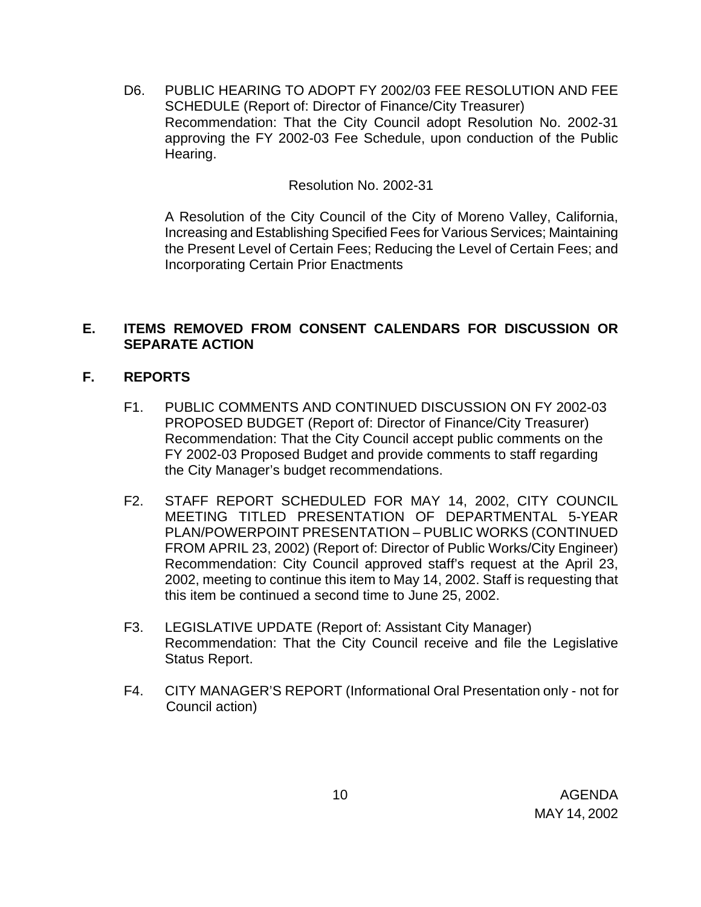D6. PUBLIC HEARING TO ADOPT FY 2002/03 FEE RESOLUTION AND FEE SCHEDULE (Report of: Director of Finance/City Treasurer) Recommendation: That the City Council adopt Resolution No. 2002-31 approving the FY 2002-03 Fee Schedule, upon conduction of the Public Hearing.

Resolution No. 2002-31

A Resolution of the City Council of the City of Moreno Valley, California, Increasing and Establishing Specified Fees for Various Services; Maintaining the Present Level of Certain Fees; Reducing the Level of Certain Fees; and Incorporating Certain Prior Enactments

### **E. ITEMS REMOVED FROM CONSENT CALENDARS FOR DISCUSSION OR SEPARATE ACTION**

### **F. REPORTS**

- F1. PUBLIC COMMENTS AND CONTINUED DISCUSSION ON FY 2002-03 PROPOSED BUDGET (Report of: Director of Finance/City Treasurer) Recommendation: That the City Council accept public comments on the FY 2002-03 Proposed Budget and provide comments to staff regarding the City Manager's budget recommendations.
- F2. STAFF REPORT SCHEDULED FOR MAY 14, 2002, CITY COUNCIL MEETING TITLED PRESENTATION OF DEPARTMENTAL 5-YEAR PLAN/POWERPOINT PRESENTATION – PUBLIC WORKS (CONTINUED FROM APRIL 23, 2002) (Report of: Director of Public Works/City Engineer) Recommendation: City Council approved staff's request at the April 23, 2002, meeting to continue this item to May 14, 2002. Staff is requesting that this item be continued a second time to June 25, 2002.
- F3. LEGISLATIVE UPDATE (Report of: Assistant City Manager) Recommendation: That the City Council receive and file the Legislative Status Report.
- F4. CITY MANAGER'S REPORT (Informational Oral Presentation only not for Council action)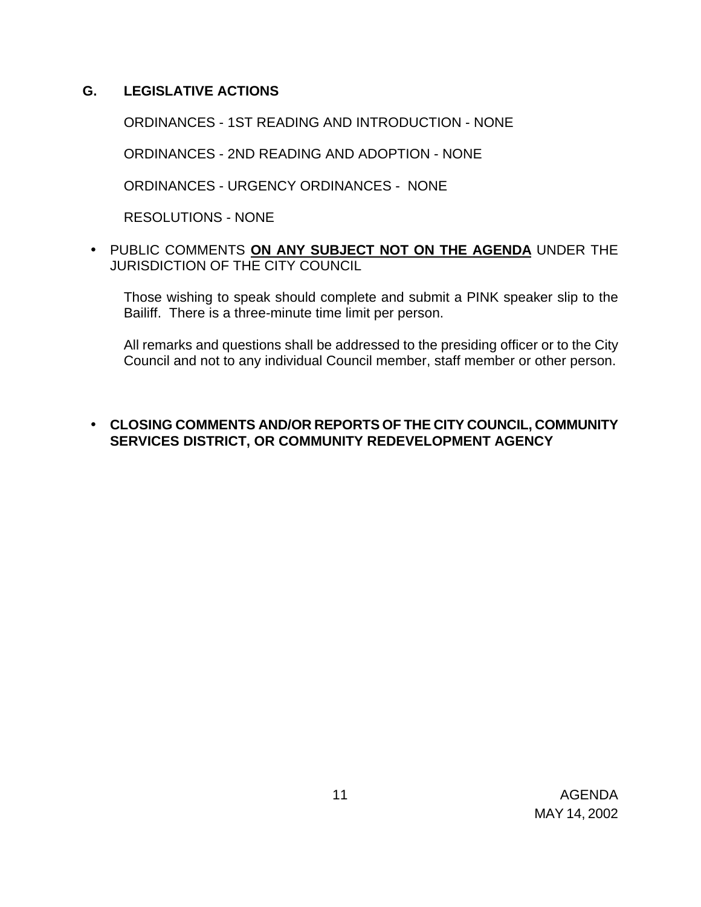### **G. LEGISLATIVE ACTIONS**

ORDINANCES - 1ST READING AND INTRODUCTION - NONE

ORDINANCES - 2ND READING AND ADOPTION - NONE

ORDINANCES - URGENCY ORDINANCES - NONE

RESOLUTIONS - NONE

• PUBLIC COMMENTS **ON ANY SUBJECT NOT ON THE AGENDA** UNDER THE JURISDICTION OF THE CITY COUNCIL

Those wishing to speak should complete and submit a PINK speaker slip to the Bailiff. There is a three-minute time limit per person.

All remarks and questions shall be addressed to the presiding officer or to the City Council and not to any individual Council member, staff member or other person.

### • **CLOSING COMMENTS AND/OR REPORTS OF THE CITY COUNCIL, COMMUNITY SERVICES DISTRICT, OR COMMUNITY REDEVELOPMENT AGENCY**